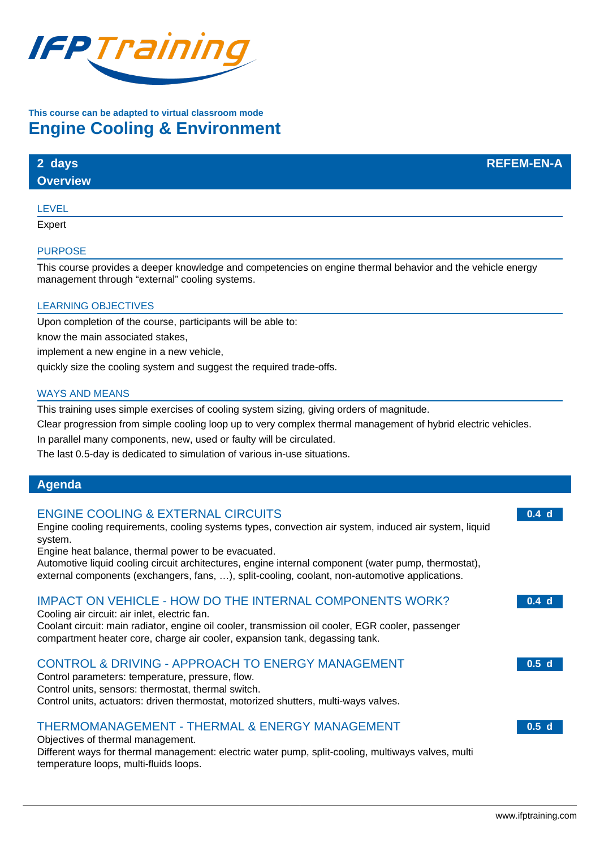

# **This course can be adapted to virtual classroom mode Engine Cooling & Environment**

# **2 days REFEM-EN-A**

**Overview**

#### LEVEL

Expert

#### **PURPOSE**

This course provides a deeper knowledge and competencies on engine thermal behavior and the vehicle energy management through "external" cooling systems.

#### LEARNING OBJECTIVES

Upon completion of the course, participants will be able to:

know the main associated stakes,

implement a new engine in a new vehicle,

quickly size the cooling system and suggest the required trade-offs.

#### WAYS AND MEANS

This training uses simple exercises of cooling system sizing, giving orders of magnitude.

Clear progression from simple cooling loop up to very complex thermal management of hybrid electric vehicles.

In parallel many components, new, used or faulty will be circulated.

The last 0.5-day is dedicated to simulation of various in-use situations.

### **Agenda**

#### ENGINE COOLING & EXTERNAL CIRCUITS

Engine cooling requirements, cooling systems types, convection air system, induced air system, liquid system.

Engine heat balance, thermal power to be evacuated.

Automotive liquid cooling circuit architectures, engine internal component (water pump, thermostat), external components (exchangers, fans, …), split-cooling, coolant, non-automotive applications.

## IMPACT ON VEHICLE - HOW DO THE INTERNAL COMPONENTS WORK?

Cooling air circuit: air inlet, electric fan. Coolant circuit: main radiator, engine oil cooler, transmission oil cooler, EGR cooler, passenger compartment heater core, charge air cooler, expansion tank, degassing tank.

## CONTROL & DRIVING - APPROACH TO ENERGY MANAGEMENT

Control parameters: temperature, pressure, flow. Control units, sensors: thermostat, thermal switch. Control units, actuators: driven thermostat, motorized shutters, multi-ways valves.

## THERMOMANAGEMENT - THERMAL & ENERGY MANAGEMENT

#### Objectives of thermal management.

Different ways for thermal management: electric water pump, split-cooling, multiways valves, multi temperature loops, multi-fluids loops.

**0.4 d**

**0.4 d**

**0.5 d**

**0.5 d**